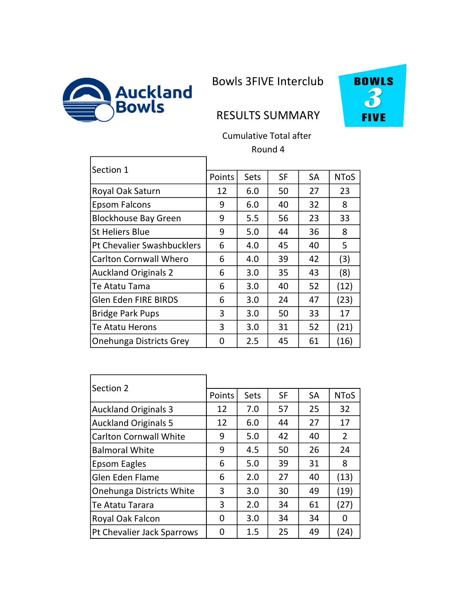

Bowls 3FIVE Interclub



## RESULTS SUMMARY

Cumulative Total after Round 4

| Section 1                         |        |      |           |           |             |
|-----------------------------------|--------|------|-----------|-----------|-------------|
|                                   | Points | Sets | <b>SF</b> | <b>SA</b> | <b>NToS</b> |
| Royal Oak Saturn                  | 12     | 6.0  | 50        | 27        | 23          |
| <b>Epsom Falcons</b>              | 9      | 6.0  | 40        | 32        | 8           |
| <b>Blockhouse Bay Green</b>       | 9      | 5.5  | 56        | 23        | 33          |
| <b>St Heliers Blue</b>            | 9      | 5.0  | 44        | 36        | 8           |
| <b>Pt Chevalier Swashbucklers</b> | 6      | 4.0  | 45        | 40        | 5           |
| <b>Carlton Cornwall Whero</b>     | 6      | 4.0  | 39        | 42        | (3)         |
| <b>Auckland Originals 2</b>       | 6      | 3.0  | 35        | 43        | (8)         |
| Te Atatu Tama                     | 6      | 3.0  | 40        | 52        | (12)        |
| Glen Eden FIRE BIRDS              | 6      | 3.0  | 24        | 47        | (23)        |
| <b>Bridge Park Pups</b>           | 3      | 3.0  | 50        | 33        | 17          |
| <b>Te Atatu Herons</b>            | 3      | 3.0  | 31        | 52        | (21)        |
| Onehunga Districts Grey           | 0      | 2.5  | 45        | 61        | (16)        |

| Section 2                     |        |      |           |           |                |
|-------------------------------|--------|------|-----------|-----------|----------------|
|                               | Points | Sets | <b>SF</b> | <b>SA</b> | <b>NToS</b>    |
| <b>Auckland Originals 3</b>   | 12     | 7.0  | 57        | 25        | 32             |
| <b>Auckland Originals 5</b>   | 12     | 6.0  | 44        | 27        | 17             |
| <b>Carlton Cornwall White</b> | 9      | 5.0  | 42        | 40        | $\overline{2}$ |
| <b>Balmoral White</b>         | 9      | 4.5  | 50        | 26        | 24             |
| Epsom Eagles                  | 6      | 5.0  | 39        | 31        | 8              |
| Glen Eden Flame               | 6      | 2.0  | 27        | 40        | (13)           |
| Onehunga Districts White      | 3      | 3.0  | 30        | 49        | (19)           |
| Te Atatu Tarara               | 3      | 2.0  | 34        | 61        | (27)           |
| Royal Oak Falcon              | 0      | 3.0  | 34        | 34        | 0              |
| Pt Chevalier Jack Sparrows    | 0      | 1.5  | 25        | 49        | (24)           |